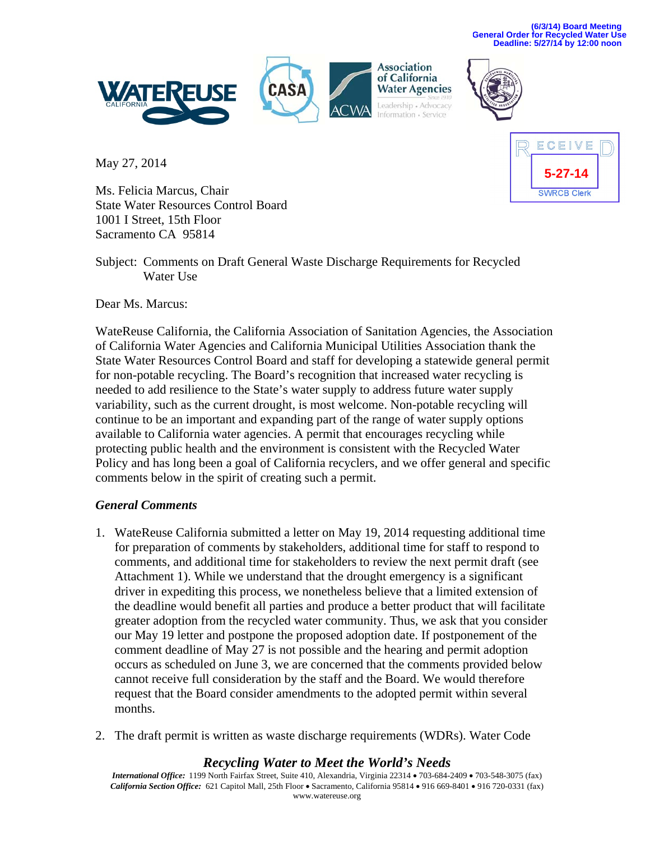**(6/3/14) Board Meeting General Order for Recycled Water Use Deadline: 5/27/14 by 12:00 noon** 



May 27, 2014



Ms. Felicia Marcus, Chair State Water Resources Control Board 1001 I Street, 15th Floor Sacramento CA 95814

Subject: Comments on Draft General Waste Discharge Requirements for Recycled Water Use

Dear Ms. Marcus:

WateReuse California, the California Association of Sanitation Agencies, the Association of California Water Agencies and California Municipal Utilities Association thank the State Water Resources Control Board and staff for developing a statewide general permit for non-potable recycling. The Board's recognition that increased water recycling is needed to add resilience to the State's water supply to address future water supply variability, such as the current drought, is most welcome. Non-potable recycling will continue to be an important and expanding part of the range of water supply options available to California water agencies. A permit that encourages recycling while protecting public health and the environment is consistent with the Recycled Water Policy and has long been a goal of California recyclers, and we offer general and specific comments below in the spirit of creating such a permit.

## *General Comments*

- 1. WateReuse California submitted a letter on May 19, 2014 requesting additional time for preparation of comments by stakeholders, additional time for staff to respond to comments, and additional time for stakeholders to review the next permit draft (see Attachment 1). While we understand that the drought emergency is a significant driver in expediting this process, we nonetheless believe that a limited extension of the deadline would benefit all parties and produce a better product that will facilitate greater adoption from the recycled water community. Thus, we ask that you consider our May 19 letter and postpone the proposed adoption date. If postponement of the comment deadline of May 27 is not possible and the hearing and permit adoption occurs as scheduled on June 3, we are concerned that the comments provided below cannot receive full consideration by the staff and the Board. We would therefore request that the Board consider amendments to the adopted permit within several months.
- 2. The draft permit is written as waste discharge requirements (WDRs). Water Code

## *Recycling Water to Meet the World's Needs*

*International Office:* 1199 North Fairfax Street, Suite 410, Alexandria, Virginia 22314 • 703-684-2409 • 703-548-3075 (fax) California Section Office: 621 Capitol Mall, 25th Floor . Sacramento, California 95814 . 916 669-8401 . 916 720-0331 (fax) www.watereuse.org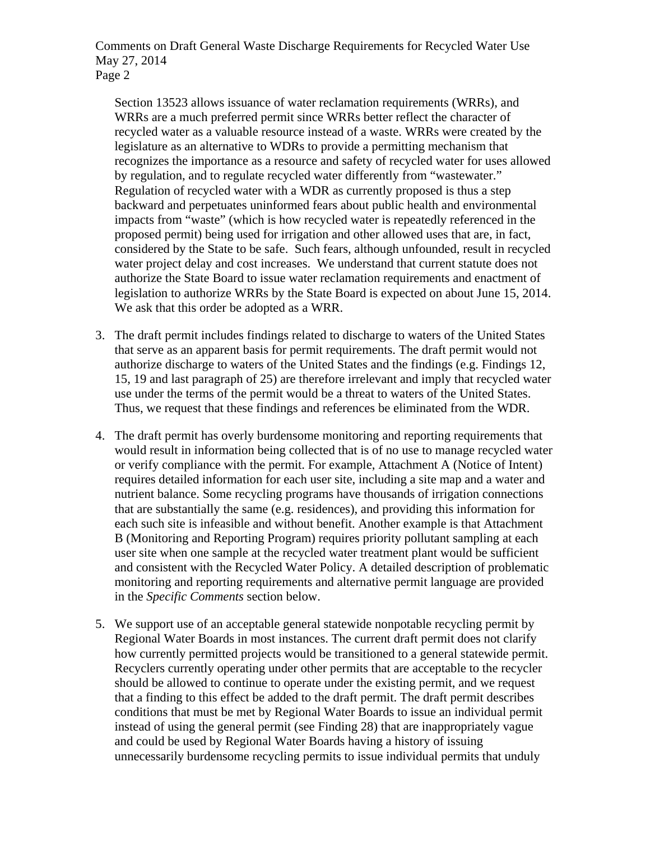Section 13523 allows issuance of water reclamation requirements (WRRs), and WRRs are a much preferred permit since WRRs better reflect the character of recycled water as a valuable resource instead of a waste. WRRs were created by the legislature as an alternative to WDRs to provide a permitting mechanism that recognizes the importance as a resource and safety of recycled water for uses allowed by regulation, and to regulate recycled water differently from "wastewater." Regulation of recycled water with a WDR as currently proposed is thus a step backward and perpetuates uninformed fears about public health and environmental impacts from "waste" (which is how recycled water is repeatedly referenced in the proposed permit) being used for irrigation and other allowed uses that are, in fact, considered by the State to be safe. Such fears, although unfounded, result in recycled water project delay and cost increases. We understand that current statute does not authorize the State Board to issue water reclamation requirements and enactment of legislation to authorize WRRs by the State Board is expected on about June 15, 2014. We ask that this order be adopted as a WRR.

- 3. The draft permit includes findings related to discharge to waters of the United States that serve as an apparent basis for permit requirements. The draft permit would not authorize discharge to waters of the United States and the findings (e.g. Findings 12, 15, 19 and last paragraph of 25) are therefore irrelevant and imply that recycled water use under the terms of the permit would be a threat to waters of the United States. Thus, we request that these findings and references be eliminated from the WDR.
- 4. The draft permit has overly burdensome monitoring and reporting requirements that would result in information being collected that is of no use to manage recycled water or verify compliance with the permit. For example, Attachment A (Notice of Intent) requires detailed information for each user site, including a site map and a water and nutrient balance. Some recycling programs have thousands of irrigation connections that are substantially the same (e.g. residences), and providing this information for each such site is infeasible and without benefit. Another example is that Attachment B (Monitoring and Reporting Program) requires priority pollutant sampling at each user site when one sample at the recycled water treatment plant would be sufficient and consistent with the Recycled Water Policy. A detailed description of problematic monitoring and reporting requirements and alternative permit language are provided in the *Specific Comments* section below.
- 5. We support use of an acceptable general statewide nonpotable recycling permit by Regional Water Boards in most instances. The current draft permit does not clarify how currently permitted projects would be transitioned to a general statewide permit. Recyclers currently operating under other permits that are acceptable to the recycler should be allowed to continue to operate under the existing permit, and we request that a finding to this effect be added to the draft permit. The draft permit describes conditions that must be met by Regional Water Boards to issue an individual permit instead of using the general permit (see Finding 28) that are inappropriately vague and could be used by Regional Water Boards having a history of issuing unnecessarily burdensome recycling permits to issue individual permits that unduly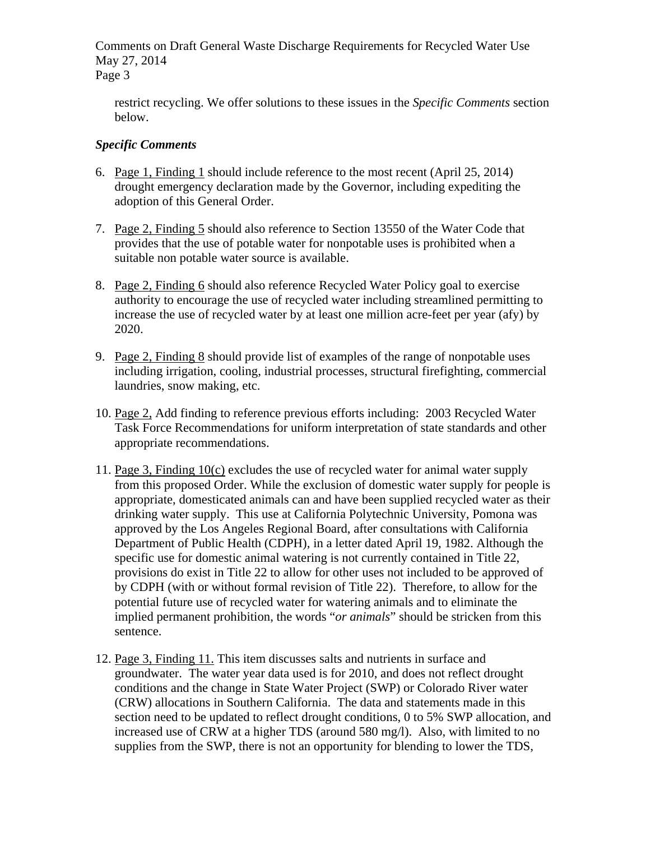restrict recycling. We offer solutions to these issues in the *Specific Comments* section below.

## *Specific Comments*

- 6. Page 1, Finding 1 should include reference to the most recent (April 25, 2014) drought emergency declaration made by the Governor, including expediting the adoption of this General Order.
- 7. Page 2, Finding 5 should also reference to Section 13550 of the Water Code that provides that the use of potable water for nonpotable uses is prohibited when a suitable non potable water source is available.
- 8. Page 2, Finding 6 should also reference Recycled Water Policy goal to exercise authority to encourage the use of recycled water including streamlined permitting to increase the use of recycled water by at least one million acre-feet per year (afy) by 2020.
- 9. Page 2, Finding 8 should provide list of examples of the range of nonpotable uses including irrigation, cooling, industrial processes, structural firefighting, commercial laundries, snow making, etc.
- 10. Page 2, Add finding to reference previous efforts including: 2003 Recycled Water Task Force Recommendations for uniform interpretation of state standards and other appropriate recommendations.
- 11. Page 3, Finding 10(c) excludes the use of recycled water for animal water supply from this proposed Order. While the exclusion of domestic water supply for people is appropriate, domesticated animals can and have been supplied recycled water as their drinking water supply. This use at California Polytechnic University, Pomona was approved by the Los Angeles Regional Board, after consultations with California Department of Public Health (CDPH), in a letter dated April 19, 1982. Although the specific use for domestic animal watering is not currently contained in Title 22, provisions do exist in Title 22 to allow for other uses not included to be approved of by CDPH (with or without formal revision of Title 22). Therefore, to allow for the potential future use of recycled water for watering animals and to eliminate the implied permanent prohibition, the words "*or animals*" should be stricken from this sentence.
- 12. Page 3, Finding 11. This item discusses salts and nutrients in surface and groundwater. The water year data used is for 2010, and does not reflect drought conditions and the change in State Water Project (SWP) or Colorado River water (CRW) allocations in Southern California. The data and statements made in this section need to be updated to reflect drought conditions, 0 to 5% SWP allocation, and increased use of CRW at a higher TDS (around 580 mg/l). Also, with limited to no supplies from the SWP, there is not an opportunity for blending to lower the TDS,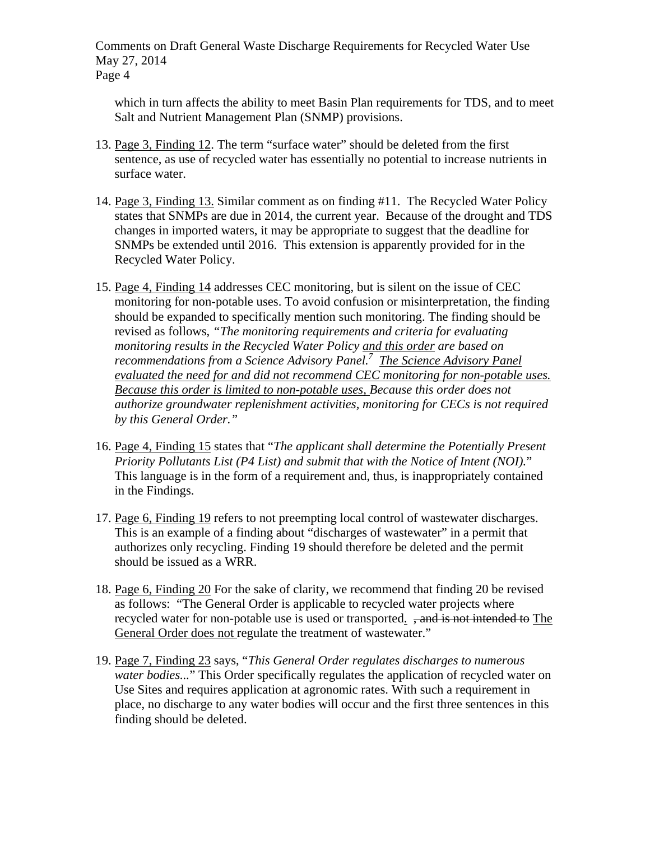which in turn affects the ability to meet Basin Plan requirements for TDS, and to meet Salt and Nutrient Management Plan (SNMP) provisions.

- 13. Page 3, Finding 12. The term "surface water" should be deleted from the first sentence, as use of recycled water has essentially no potential to increase nutrients in surface water.
- 14. Page 3, Finding 13. Similar comment as on finding #11. The Recycled Water Policy states that SNMPs are due in 2014, the current year. Because of the drought and TDS changes in imported waters, it may be appropriate to suggest that the deadline for SNMPs be extended until 2016. This extension is apparently provided for in the Recycled Water Policy.
- 15. Page 4, Finding 14 addresses CEC monitoring, but is silent on the issue of CEC monitoring for non-potable uses. To avoid confusion or misinterpretation, the finding should be expanded to specifically mention such monitoring. The finding should be revised as follows, *"The monitoring requirements and criteria for evaluating monitoring results in the Recycled Water Policy and this order are based on recommendations from a Science Advisory Panel.7 The Science Advisory Panel evaluated the need for and did not recommend CEC monitoring for non-potable uses. Because this order is limited to non-potable uses, Because this order does not authorize groundwater replenishment activities, monitoring for CECs is not required by this General Order."*
- 16. Page 4, Finding 15 states that "*The applicant shall determine the Potentially Present Priority Pollutants List (P4 List) and submit that with the Notice of Intent (NOI).*" This language is in the form of a requirement and, thus, is inappropriately contained in the Findings.
- 17. Page 6, Finding 19 refers to not preempting local control of wastewater discharges. This is an example of a finding about "discharges of wastewater" in a permit that authorizes only recycling. Finding 19 should therefore be deleted and the permit should be issued as a WRR.
- 18. Page 6, Finding 20 For the sake of clarity, we recommend that finding 20 be revised as follows: "The General Order is applicable to recycled water projects where recycled water for non-potable use is used or transported. <del>, and is not intended to</del> The General Order does not regulate the treatment of wastewater."
- 19. Page 7, Finding 23 says, "*This General Order regulates discharges to numerous water bodies...*" This Order specifically regulates the application of recycled water on Use Sites and requires application at agronomic rates. With such a requirement in place, no discharge to any water bodies will occur and the first three sentences in this finding should be deleted.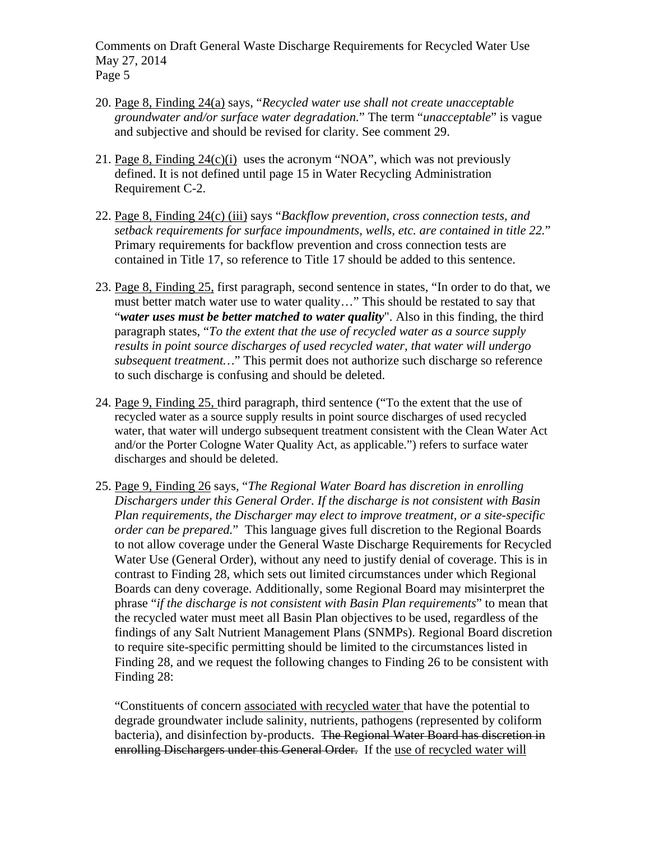- 20. Page 8, Finding 24(a) says, "*Recycled water use shall not create unacceptable groundwater and/or surface water degradation.*" The term "*unacceptable*" is vague and subjective and should be revised for clarity. See comment 29.
- 21. Page 8, Finding 24(c)(i) uses the acronym "NOA", which was not previously defined. It is not defined until page 15 in Water Recycling Administration Requirement C-2.
- 22. Page 8, Finding 24(c) (iii) says "*Backflow prevention, cross connection tests, and setback requirements for surface impoundments, wells, etc. are contained in title 22.*" Primary requirements for backflow prevention and cross connection tests are contained in Title 17, so reference to Title 17 should be added to this sentence.
- 23. Page 8, Finding 25, first paragraph, second sentence in states, "In order to do that, we must better match water use to water quality..." This should be restated to say that "*water uses must be better matched to water quality*". Also in this finding, the third paragraph states, "*To the extent that the use of recycled water as a source supply results in point source discharges of used recycled water, that water will undergo subsequent treatment…*" This permit does not authorize such discharge so reference to such discharge is confusing and should be deleted.
- 24. Page 9, Finding 25, third paragraph, third sentence ("To the extent that the use of recycled water as a source supply results in point source discharges of used recycled water, that water will undergo subsequent treatment consistent with the Clean Water Act and/or the Porter Cologne Water Quality Act, as applicable.") refers to surface water discharges and should be deleted.
- 25. Page 9, Finding 26 says, "*The Regional Water Board has discretion in enrolling Dischargers under this General Order. If the discharge is not consistent with Basin Plan requirements, the Discharger may elect to improve treatment, or a site-specific order can be prepared.*" This language gives full discretion to the Regional Boards to not allow coverage under the General Waste Discharge Requirements for Recycled Water Use (General Order), without any need to justify denial of coverage. This is in contrast to Finding 28, which sets out limited circumstances under which Regional Boards can deny coverage. Additionally, some Regional Board may misinterpret the phrase "*if the discharge is not consistent with Basin Plan requirements*" to mean that the recycled water must meet all Basin Plan objectives to be used, regardless of the findings of any Salt Nutrient Management Plans (SNMPs). Regional Board discretion to require site-specific permitting should be limited to the circumstances listed in Finding 28, and we request the following changes to Finding 26 to be consistent with Finding 28:

"Constituents of concern associated with recycled water that have the potential to degrade groundwater include salinity, nutrients, pathogens (represented by coliform bacteria), and disinfection by-products. The Regional Water Board has discretion in enrolling Dischargers under this General Order. If the use of recycled water will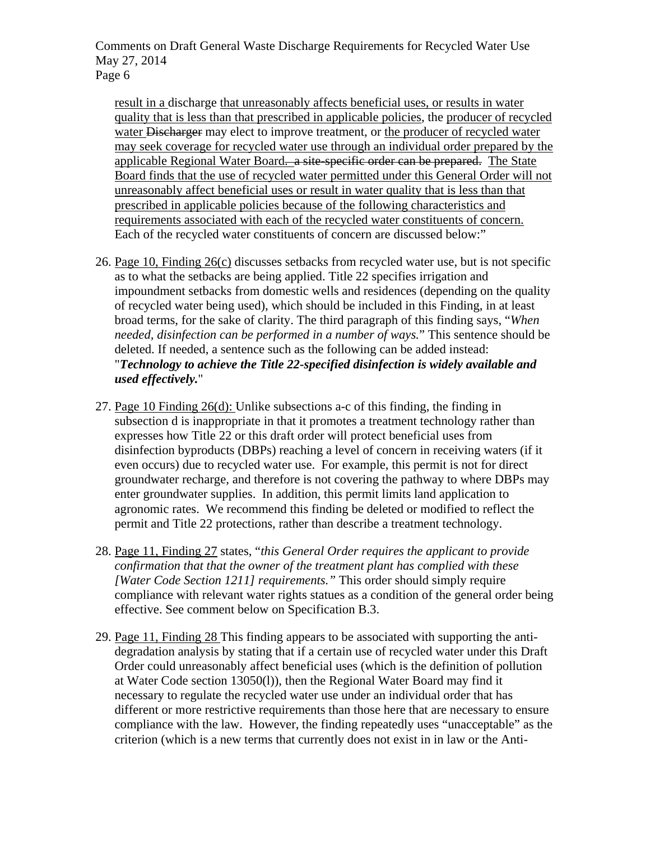result in a discharge that unreasonably affects beneficial uses, or results in water quality that is less than that prescribed in applicable policies, the producer of recycled water Discharger may elect to improve treatment, or the producer of recycled water may seek coverage for recycled water use through an individual order prepared by the applicable Regional Water Board. a site-specific order can be prepared. The State Board finds that the use of recycled water permitted under this General Order will not unreasonably affect beneficial uses or result in water quality that is less than that prescribed in applicable policies because of the following characteristics and requirements associated with each of the recycled water constituents of concern. Each of the recycled water constituents of concern are discussed below:"

- 26. Page 10, Finding 26(c) discusses setbacks from recycled water use, but is not specific as to what the setbacks are being applied. Title 22 specifies irrigation and impoundment setbacks from domestic wells and residences (depending on the quality of recycled water being used), which should be included in this Finding, in at least broad terms, for the sake of clarity. The third paragraph of this finding says, "*When needed, disinfection can be performed in a number of ways.*" This sentence should be deleted. If needed, a sentence such as the following can be added instead: "*Technology to achieve the Title 22-specified disinfection is widely available and used effectively.*"
- 27. Page 10 Finding 26(d): Unlike subsections a-c of this finding, the finding in subsection d is inappropriate in that it promotes a treatment technology rather than expresses how Title 22 or this draft order will protect beneficial uses from disinfection byproducts (DBPs) reaching a level of concern in receiving waters (if it even occurs) due to recycled water use. For example, this permit is not for direct groundwater recharge, and therefore is not covering the pathway to where DBPs may enter groundwater supplies. In addition, this permit limits land application to agronomic rates. We recommend this finding be deleted or modified to reflect the permit and Title 22 protections, rather than describe a treatment technology.
- 28. Page 11, Finding 27 states, "*this General Order requires the applicant to provide confirmation that that the owner of the treatment plant has complied with these [Water Code Section 1211] requirements."* This order should simply require compliance with relevant water rights statues as a condition of the general order being effective. See comment below on Specification B.3.
- 29. Page 11, Finding 28 This finding appears to be associated with supporting the antidegradation analysis by stating that if a certain use of recycled water under this Draft Order could unreasonably affect beneficial uses (which is the definition of pollution at Water Code section 13050(l)), then the Regional Water Board may find it necessary to regulate the recycled water use under an individual order that has different or more restrictive requirements than those here that are necessary to ensure compliance with the law. However, the finding repeatedly uses "unacceptable" as the criterion (which is a new terms that currently does not exist in in law or the Anti-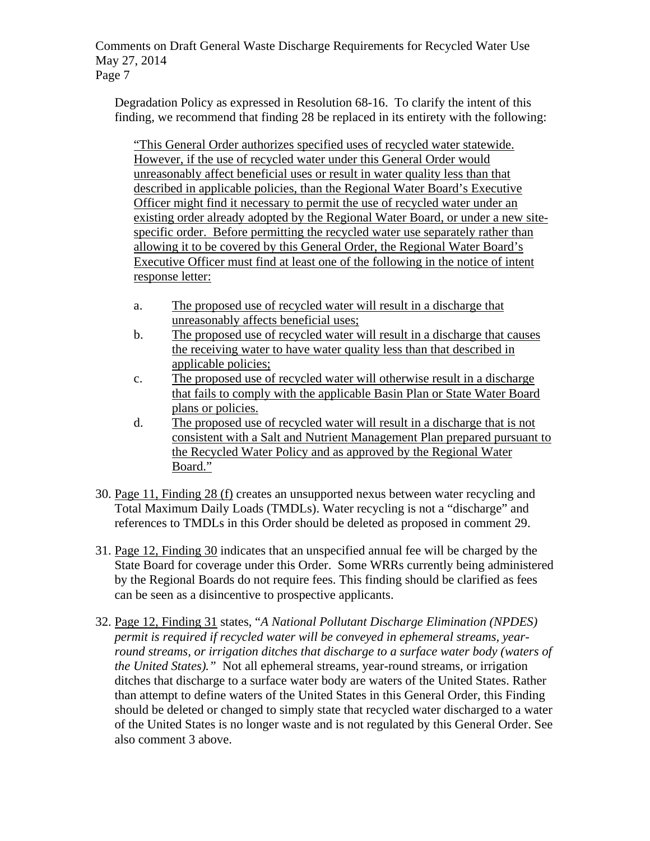Degradation Policy as expressed in Resolution 68-16. To clarify the intent of this finding, we recommend that finding 28 be replaced in its entirety with the following:

"This General Order authorizes specified uses of recycled water statewide. However, if the use of recycled water under this General Order would unreasonably affect beneficial uses or result in water quality less than that described in applicable policies, than the Regional Water Board's Executive Officer might find it necessary to permit the use of recycled water under an existing order already adopted by the Regional Water Board, or under a new sitespecific order. Before permitting the recycled water use separately rather than allowing it to be covered by this General Order, the Regional Water Board's Executive Officer must find at least one of the following in the notice of intent response letter:

- a. The proposed use of recycled water will result in a discharge that unreasonably affects beneficial uses;
- b. The proposed use of recycled water will result in a discharge that causes the receiving water to have water quality less than that described in applicable policies;
- c. The proposed use of recycled water will otherwise result in a discharge that fails to comply with the applicable Basin Plan or State Water Board plans or policies.
- d. The proposed use of recycled water will result in a discharge that is not consistent with a Salt and Nutrient Management Plan prepared pursuant to the Recycled Water Policy and as approved by the Regional Water Board."
- 30. Page 11, Finding 28 (f) creates an unsupported nexus between water recycling and Total Maximum Daily Loads (TMDLs). Water recycling is not a "discharge" and references to TMDLs in this Order should be deleted as proposed in comment 29.
- 31. Page 12, Finding 30 indicates that an unspecified annual fee will be charged by the State Board for coverage under this Order. Some WRRs currently being administered by the Regional Boards do not require fees. This finding should be clarified as fees can be seen as a disincentive to prospective applicants.
- 32. Page 12, Finding 31 states, "*A National Pollutant Discharge Elimination (NPDES) permit is required if recycled water will be conveyed in ephemeral streams, yearround streams, or irrigation ditches that discharge to a surface water body (waters of the United States)."* Not all ephemeral streams, year-round streams, or irrigation ditches that discharge to a surface water body are waters of the United States. Rather than attempt to define waters of the United States in this General Order, this Finding should be deleted or changed to simply state that recycled water discharged to a water of the United States is no longer waste and is not regulated by this General Order. See also comment 3 above.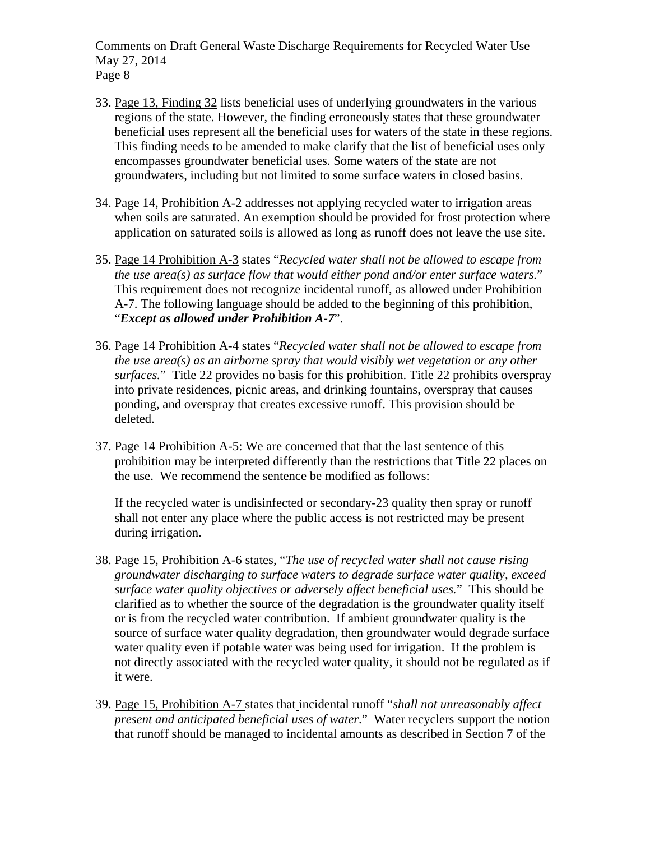- 33. Page 13, Finding 32 lists beneficial uses of underlying groundwaters in the various regions of the state. However, the finding erroneously states that these groundwater beneficial uses represent all the beneficial uses for waters of the state in these regions. This finding needs to be amended to make clarify that the list of beneficial uses only encompasses groundwater beneficial uses. Some waters of the state are not groundwaters, including but not limited to some surface waters in closed basins.
- 34. Page 14, Prohibition A-2 addresses not applying recycled water to irrigation areas when soils are saturated. An exemption should be provided for frost protection where application on saturated soils is allowed as long as runoff does not leave the use site.
- 35. Page 14 Prohibition A-3 states "*Recycled water shall not be allowed to escape from the use area(s) as surface flow that would either pond and/or enter surface waters.*" This requirement does not recognize incidental runoff, as allowed under Prohibition A-7. The following language should be added to the beginning of this prohibition, "*Except as allowed under Prohibition A-7*".
- 36. Page 14 Prohibition A-4 states "*Recycled water shall not be allowed to escape from the use area(s) as an airborne spray that would visibly wet vegetation or any other surfaces.*" Title 22 provides no basis for this prohibition. Title 22 prohibits overspray into private residences, picnic areas, and drinking fountains, overspray that causes ponding, and overspray that creates excessive runoff. This provision should be deleted.
- 37. Page 14 Prohibition A-5: We are concerned that that the last sentence of this prohibition may be interpreted differently than the restrictions that Title 22 places on the use. We recommend the sentence be modified as follows:

If the recycled water is undisinfected or secondary-23 quality then spray or runoff shall not enter any place where the public access is not restricted may be present during irrigation.

- 38. Page 15, Prohibition A-6 states, "*The use of recycled water shall not cause rising groundwater discharging to surface waters to degrade surface water quality, exceed surface water quality objectives or adversely affect beneficial uses.*" This should be clarified as to whether the source of the degradation is the groundwater quality itself or is from the recycled water contribution. If ambient groundwater quality is the source of surface water quality degradation, then groundwater would degrade surface water quality even if potable water was being used for irrigation. If the problem is not directly associated with the recycled water quality, it should not be regulated as if it were.
- 39. Page 15, Prohibition A-7 states that incidental runoff "*shall not unreasonably affect present and anticipated beneficial uses of water*." Water recyclers support the notion that runoff should be managed to incidental amounts as described in Section 7 of the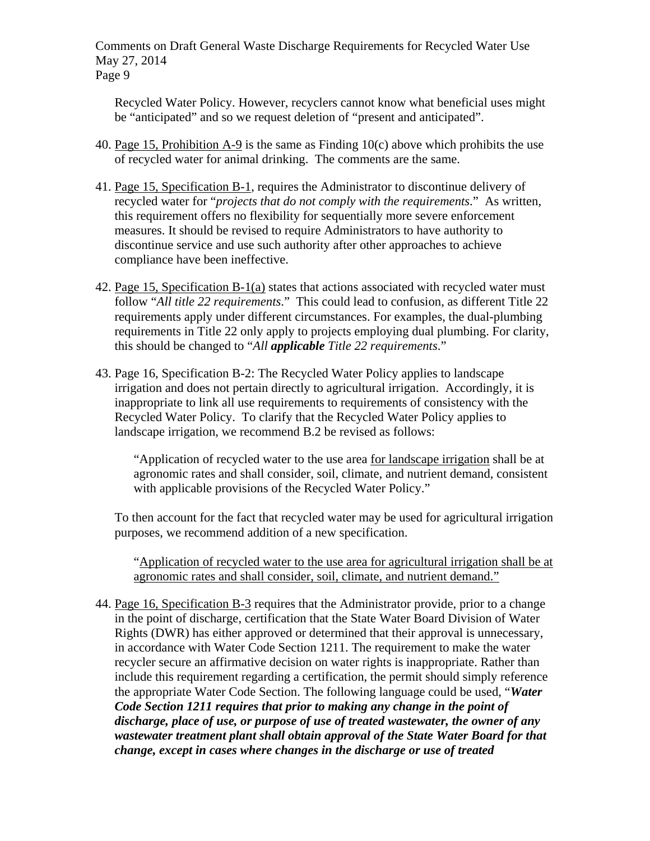Recycled Water Policy. However, recyclers cannot know what beneficial uses might be "anticipated" and so we request deletion of "present and anticipated".

- 40. Page 15, Prohibition A-9 is the same as Finding 10(c) above which prohibits the use of recycled water for animal drinking. The comments are the same.
- 41. Page 15, Specification B-1, requires the Administrator to discontinue delivery of recycled water for "*projects that do not comply with the requirements*." As written, this requirement offers no flexibility for sequentially more severe enforcement measures. It should be revised to require Administrators to have authority to discontinue service and use such authority after other approaches to achieve compliance have been ineffective.
- 42. Page 15, Specification B-1(a) states that actions associated with recycled water must follow "*All title 22 requirements*." This could lead to confusion, as different Title 22 requirements apply under different circumstances. For examples, the dual-plumbing requirements in Title 22 only apply to projects employing dual plumbing. For clarity, this should be changed to "*All applicable Title 22 requirements*."
- 43. Page 16, Specification B-2: The Recycled Water Policy applies to landscape irrigation and does not pertain directly to agricultural irrigation. Accordingly, it is inappropriate to link all use requirements to requirements of consistency with the Recycled Water Policy. To clarify that the Recycled Water Policy applies to landscape irrigation, we recommend B.2 be revised as follows:

"Application of recycled water to the use area for landscape irrigation shall be at agronomic rates and shall consider, soil, climate, and nutrient demand, consistent with applicable provisions of the Recycled Water Policy."

To then account for the fact that recycled water may be used for agricultural irrigation purposes, we recommend addition of a new specification.

"Application of recycled water to the use area for agricultural irrigation shall be at agronomic rates and shall consider, soil, climate, and nutrient demand."

44. Page 16, Specification B-3 requires that the Administrator provide, prior to a change in the point of discharge, certification that the State Water Board Division of Water Rights (DWR) has either approved or determined that their approval is unnecessary, in accordance with Water Code Section 1211. The requirement to make the water recycler secure an affirmative decision on water rights is inappropriate. Rather than include this requirement regarding a certification, the permit should simply reference the appropriate Water Code Section. The following language could be used, "*Water Code Section 1211 requires that prior to making any change in the point of discharge, place of use, or purpose of use of treated wastewater, the owner of any wastewater treatment plant shall obtain approval of the State Water Board for that change, except in cases where changes in the discharge or use of treated*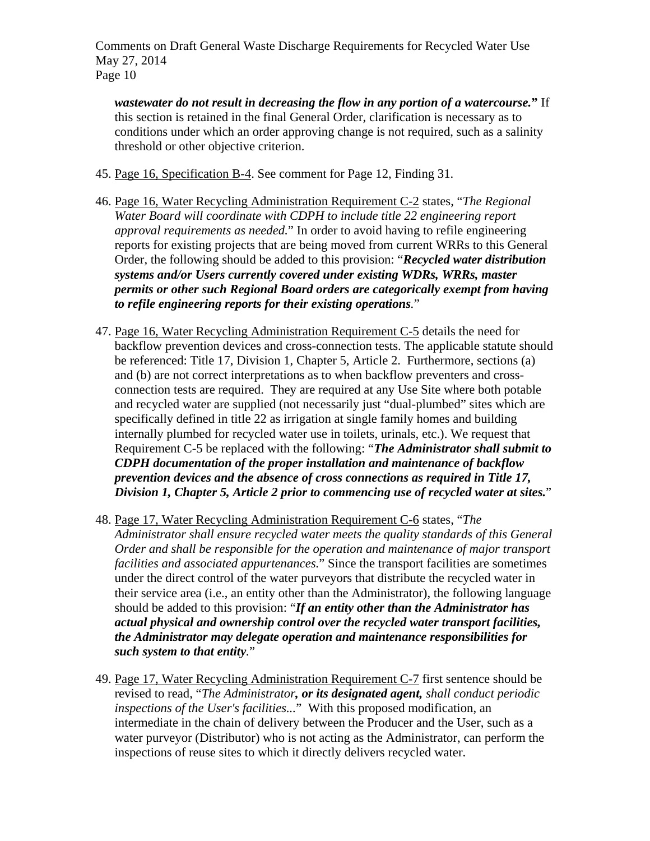*wastewater do not result in decreasing the flow in any portion of a watercourse.***"** If this section is retained in the final General Order, clarification is necessary as to conditions under which an order approving change is not required, such as a salinity threshold or other objective criterion.

- 45. Page 16, Specification B-4. See comment for Page 12, Finding 31.
- 46. Page 16, Water Recycling Administration Requirement C-2 states, "*The Regional Water Board will coordinate with CDPH to include title 22 engineering report approval requirements as needed.*" In order to avoid having to refile engineering reports for existing projects that are being moved from current WRRs to this General Order, the following should be added to this provision: "*Recycled water distribution systems and/or Users currently covered under existing WDRs, WRRs, master permits or other such Regional Board orders are categorically exempt from having to refile engineering reports for their existing operations.*"
- 47. Page 16, Water Recycling Administration Requirement C-5 details the need for backflow prevention devices and cross-connection tests. The applicable statute should be referenced: Title 17, Division 1, Chapter 5, Article 2. Furthermore, sections (a) and (b) are not correct interpretations as to when backflow preventers and crossconnection tests are required. They are required at any Use Site where both potable and recycled water are supplied (not necessarily just "dual-plumbed" sites which are specifically defined in title 22 as irrigation at single family homes and building internally plumbed for recycled water use in toilets, urinals, etc.). We request that Requirement C-5 be replaced with the following: "*The Administrator shall submit to CDPH documentation of the proper installation and maintenance of backflow prevention devices and the absence of cross connections as required in Title 17, Division 1, Chapter 5, Article 2 prior to commencing use of recycled water at sites.*"
- 48. Page 17, Water Recycling Administration Requirement C-6 states, "*The Administrator shall ensure recycled water meets the quality standards of this General Order and shall be responsible for the operation and maintenance of major transport facilities and associated appurtenances.*" Since the transport facilities are sometimes under the direct control of the water purveyors that distribute the recycled water in their service area (i.e., an entity other than the Administrator), the following language should be added to this provision: "*If an entity other than the Administrator has actual physical and ownership control over the recycled water transport facilities, the Administrator may delegate operation and maintenance responsibilities for such system to that entity.*"
- 49. Page 17, Water Recycling Administration Requirement C-7 first sentence should be revised to read, "*The Administrator, or its designated agent, shall conduct periodic inspections of the User's facilities...*" With this proposed modification, an intermediate in the chain of delivery between the Producer and the User, such as a water purveyor (Distributor) who is not acting as the Administrator, can perform the inspections of reuse sites to which it directly delivers recycled water.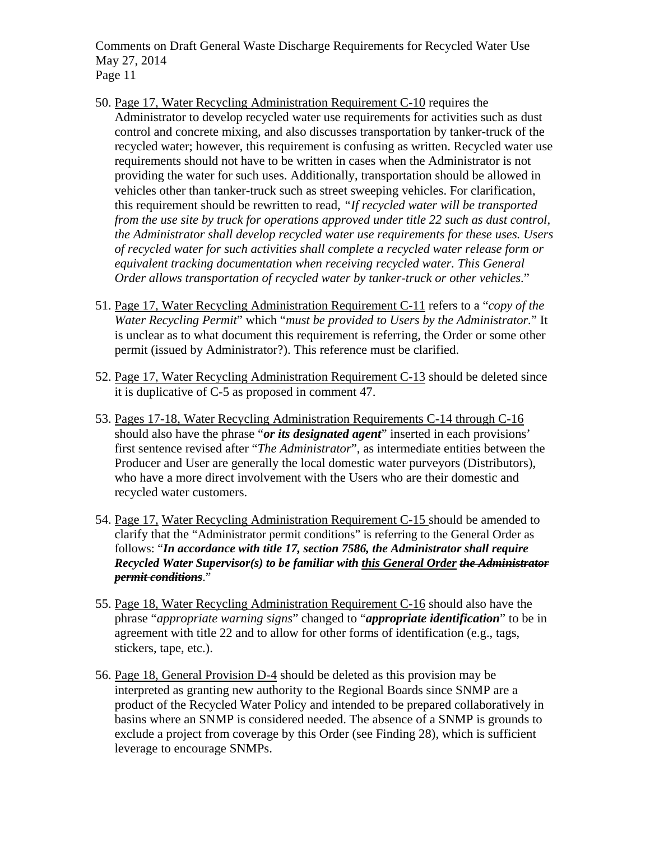- 50. Page 17, Water Recycling Administration Requirement C-10 requires the Administrator to develop recycled water use requirements for activities such as dust control and concrete mixing, and also discusses transportation by tanker-truck of the recycled water; however, this requirement is confusing as written. Recycled water use requirements should not have to be written in cases when the Administrator is not providing the water for such uses. Additionally, transportation should be allowed in vehicles other than tanker-truck such as street sweeping vehicles. For clarification, this requirement should be rewritten to read, *"If recycled water will be transported from the use site by truck for operations approved under title 22 such as dust control, the Administrator shall develop recycled water use requirements for these uses. Users of recycled water for such activities shall complete a recycled water release form or equivalent tracking documentation when receiving recycled water. This General Order allows transportation of recycled water by tanker-truck or other vehicles*."
- 51. Page 17, Water Recycling Administration Requirement C-11 refers to a "*copy of the Water Recycling Permit*" which "*must be provided to Users by the Administrator.*" It is unclear as to what document this requirement is referring, the Order or some other permit (issued by Administrator?). This reference must be clarified.
- 52. Page 17, Water Recycling Administration Requirement C-13 should be deleted since it is duplicative of C-5 as proposed in comment 47.
- 53. Pages 17-18, Water Recycling Administration Requirements C-14 through C-16 should also have the phrase "*or its designated agent*" inserted in each provisions' first sentence revised after "*The Administrator*", as intermediate entities between the Producer and User are generally the local domestic water purveyors (Distributors), who have a more direct involvement with the Users who are their domestic and recycled water customers.
- 54. Page 17, Water Recycling Administration Requirement C-15 should be amended to clarify that the "Administrator permit conditions" is referring to the General Order as follows: "*In accordance with title 17, section 7586, the Administrator shall require Recycled Water Supervisor(s) to be familiar with this General Order the Administrator permit conditions*."
- 55. Page 18, Water Recycling Administration Requirement C-16 should also have the phrase "*appropriate warning signs*" changed to "*appropriate identification*" to be in agreement with title 22 and to allow for other forms of identification (e.g., tags, stickers, tape, etc.).
- 56. Page 18, General Provision D-4 should be deleted as this provision may be interpreted as granting new authority to the Regional Boards since SNMP are a product of the Recycled Water Policy and intended to be prepared collaboratively in basins where an SNMP is considered needed. The absence of a SNMP is grounds to exclude a project from coverage by this Order (see Finding 28), which is sufficient leverage to encourage SNMPs.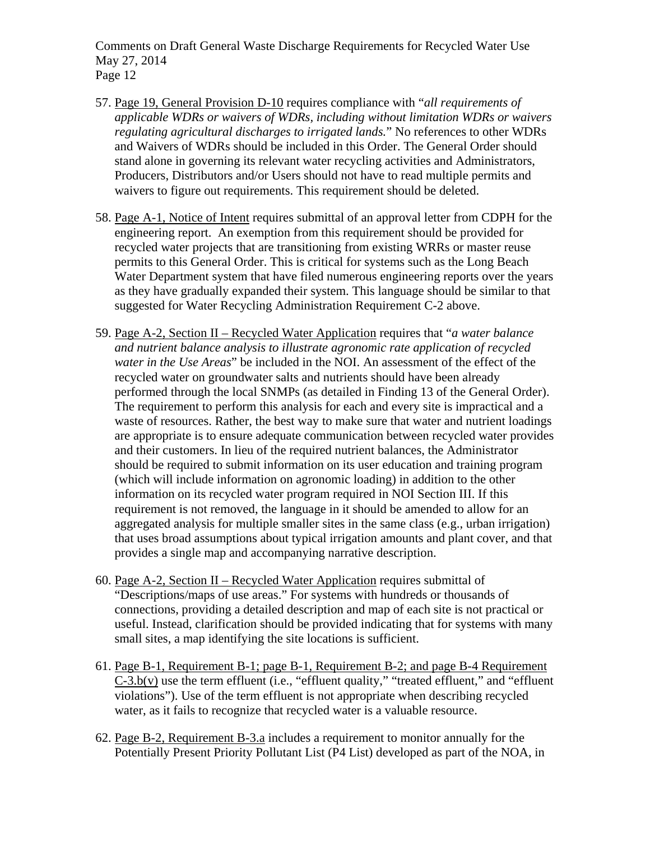- 57. Page 19, General Provision D-10 requires compliance with "*all requirements of applicable WDRs or waivers of WDRs, including without limitation WDRs or waivers regulating agricultural discharges to irrigated lands.*" No references to other WDRs and Waivers of WDRs should be included in this Order. The General Order should stand alone in governing its relevant water recycling activities and Administrators, Producers, Distributors and/or Users should not have to read multiple permits and waivers to figure out requirements. This requirement should be deleted.
- 58. Page A-1, Notice of Intent requires submittal of an approval letter from CDPH for the engineering report. An exemption from this requirement should be provided for recycled water projects that are transitioning from existing WRRs or master reuse permits to this General Order. This is critical for systems such as the Long Beach Water Department system that have filed numerous engineering reports over the years as they have gradually expanded their system. This language should be similar to that suggested for Water Recycling Administration Requirement C-2 above.
- 59. Page A-2, Section II Recycled Water Application requires that "*a water balance and nutrient balance analysis to illustrate agronomic rate application of recycled water in the Use Areas*" be included in the NOI. An assessment of the effect of the recycled water on groundwater salts and nutrients should have been already performed through the local SNMPs (as detailed in Finding 13 of the General Order). The requirement to perform this analysis for each and every site is impractical and a waste of resources. Rather, the best way to make sure that water and nutrient loadings are appropriate is to ensure adequate communication between recycled water provides and their customers. In lieu of the required nutrient balances, the Administrator should be required to submit information on its user education and training program (which will include information on agronomic loading) in addition to the other information on its recycled water program required in NOI Section III. If this requirement is not removed, the language in it should be amended to allow for an aggregated analysis for multiple smaller sites in the same class (e.g., urban irrigation) that uses broad assumptions about typical irrigation amounts and plant cover, and that provides a single map and accompanying narrative description.
- 60. Page A-2, Section II Recycled Water Application requires submittal of "Descriptions/maps of use areas." For systems with hundreds or thousands of connections, providing a detailed description and map of each site is not practical or useful. Instead, clarification should be provided indicating that for systems with many small sites, a map identifying the site locations is sufficient.
- 61. Page B-1, Requirement B-1; page B-1, Requirement B-2; and page B-4 Requirement  $C-3.b(v)$  use the term effluent (i.e., "effluent quality," "treated effluent," and "effluent violations"). Use of the term effluent is not appropriate when describing recycled water, as it fails to recognize that recycled water is a valuable resource.
- 62. Page B-2, Requirement B-3.a includes a requirement to monitor annually for the Potentially Present Priority Pollutant List (P4 List) developed as part of the NOA, in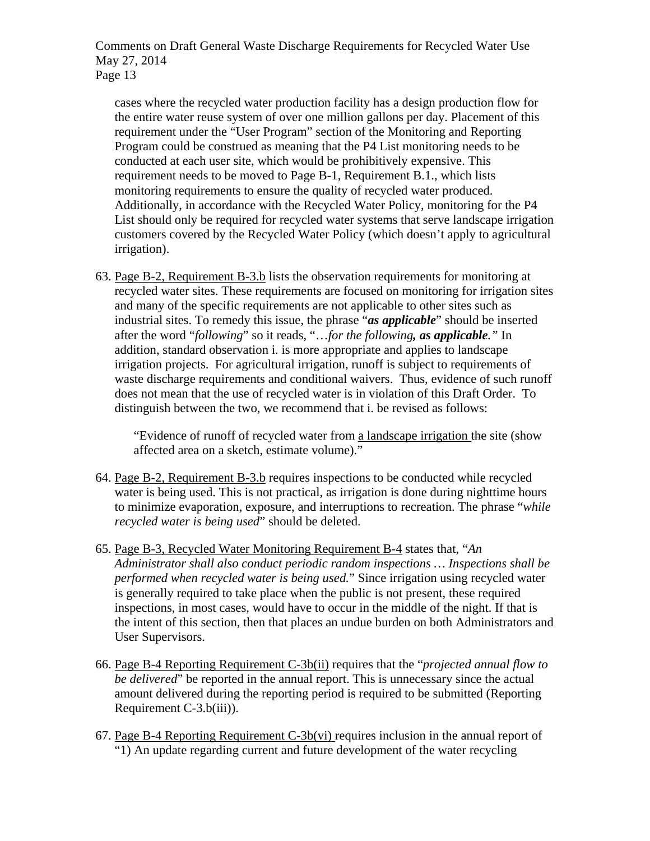cases where the recycled water production facility has a design production flow for the entire water reuse system of over one million gallons per day. Placement of this requirement under the "User Program" section of the Monitoring and Reporting Program could be construed as meaning that the P4 List monitoring needs to be conducted at each user site, which would be prohibitively expensive. This requirement needs to be moved to Page B-1, Requirement B.1., which lists monitoring requirements to ensure the quality of recycled water produced. Additionally, in accordance with the Recycled Water Policy, monitoring for the P4 List should only be required for recycled water systems that serve landscape irrigation customers covered by the Recycled Water Policy (which doesn't apply to agricultural irrigation).

63. Page B-2, Requirement B-3.b lists the observation requirements for monitoring at recycled water sites. These requirements are focused on monitoring for irrigation sites and many of the specific requirements are not applicable to other sites such as industrial sites. To remedy this issue, the phrase "*as applicable*" should be inserted after the word "*following*" so it reads, "…*for the following, as applicable."* In addition, standard observation i. is more appropriate and applies to landscape irrigation projects. For agricultural irrigation, runoff is subject to requirements of waste discharge requirements and conditional waivers. Thus, evidence of such runoff does not mean that the use of recycled water is in violation of this Draft Order. To distinguish between the two, we recommend that i. be revised as follows:

"Evidence of runoff of recycled water from a landscape irrigation the site (show affected area on a sketch, estimate volume)."

- 64. Page B-2, Requirement B-3.b requires inspections to be conducted while recycled water is being used. This is not practical, as irrigation is done during nighttime hours to minimize evaporation, exposure, and interruptions to recreation. The phrase "*while recycled water is being used*" should be deleted.
- 65. Page B-3, Recycled Water Monitoring Requirement B-4 states that, "*An Administrator shall also conduct periodic random inspections … Inspections shall be performed when recycled water is being used.*" Since irrigation using recycled water is generally required to take place when the public is not present, these required inspections, in most cases, would have to occur in the middle of the night. If that is the intent of this section, then that places an undue burden on both Administrators and User Supervisors.
- 66. Page B-4 Reporting Requirement C-3b(ii) requires that the "*projected annual flow to be delivered*" be reported in the annual report. This is unnecessary since the actual amount delivered during the reporting period is required to be submitted (Reporting Requirement C-3.b(iii)).
- 67. Page B-4 Reporting Requirement C-3b(vi) requires inclusion in the annual report of "1) An update regarding current and future development of the water recycling